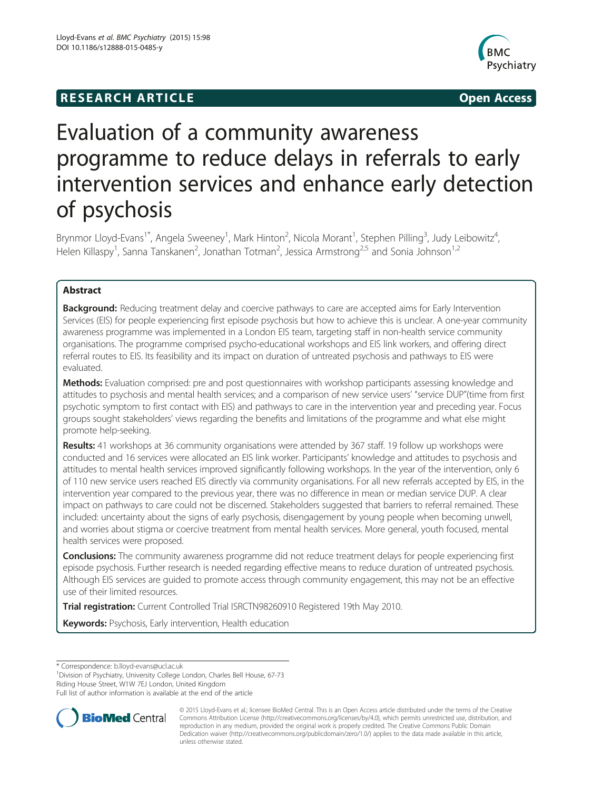## **RESEARCH ARTICLE Example 2008 CONSIDERING CONSIDERING CONSIDERING CONSIDERING CONSIDERING CONSIDERING CONSIDERING CONSIDERING CONSIDERING CONSIDERING CONSIDERING CONSIDERING CONSIDERING CONSIDERING CONSIDERING CONSIDE**



# Evaluation of a community awareness programme to reduce delays in referrals to early intervention services and enhance early detection of psychosis

Brynmor Lloyd-Evans<sup>1\*</sup>, Angela Sweeney<sup>1</sup>, Mark Hinton<sup>2</sup>, Nicola Morant<sup>1</sup>, Stephen Pilling<sup>3</sup>, Judy Leibowitz<sup>4</sup> , Helen Killaspy<sup>1</sup>, Sanna Tanskanen<sup>2</sup>, Jonathan Totman<sup>2</sup>, Jessica Armstrong<sup>2,5</sup> and Sonia Johnson<sup>1,2</sup>

## Abstract

Background: Reducing treatment delay and coercive pathways to care are accepted aims for Early Intervention Services (EIS) for people experiencing first episode psychosis but how to achieve this is unclear. A one-year community awareness programme was implemented in a London EIS team, targeting staff in non-health service community organisations. The programme comprised psycho-educational workshops and EIS link workers, and offering direct referral routes to EIS. Its feasibility and its impact on duration of untreated psychosis and pathways to EIS were evaluated.

Methods: Evaluation comprised: pre and post questionnaires with workshop participants assessing knowledge and attitudes to psychosis and mental health services; and a comparison of new service users' "service DUP"(time from first psychotic symptom to first contact with EIS) and pathways to care in the intervention year and preceding year. Focus groups sought stakeholders' views regarding the benefits and limitations of the programme and what else might promote help-seeking.

Results: 41 workshops at 36 community organisations were attended by 367 staff. 19 follow up workshops were conducted and 16 services were allocated an EIS link worker. Participants' knowledge and attitudes to psychosis and attitudes to mental health services improved significantly following workshops. In the year of the intervention, only 6 of 110 new service users reached EIS directly via community organisations. For all new referrals accepted by EIS, in the intervention year compared to the previous year, there was no difference in mean or median service DUP. A clear impact on pathways to care could not be discerned. Stakeholders suggested that barriers to referral remained. These included: uncertainty about the signs of early psychosis, disengagement by young people when becoming unwell, and worries about stigma or coercive treatment from mental health services. More general, youth focused, mental health services were proposed.

**Conclusions:** The community awareness programme did not reduce treatment delays for people experiencing first episode psychosis. Further research is needed regarding effective means to reduce duration of untreated psychosis. Although EIS services are guided to promote access through community engagement, this may not be an effective use of their limited resources.

Trial registration: Current Controlled Trial [ISRCTN98260910](http://www.controlled-trials.com/ISRCTN98260910) Registered 19th May 2010.

Keywords: Psychosis, Early intervention, Health education

\* Correspondence: [b.lloyd-evans@ucl.ac.uk](mailto:b.lloyd-evans@ucl.ac.uk) <sup>1</sup>

<sup>1</sup> Division of Psychiatry, University College London, Charles Bell House, 67-73 Riding House Street, W1W 7EJ London, United Kingdom

Full list of author information is available at the end of the article



© 2015 Lloyd-Evans et al.; licensee BioMed Central. This is an Open Access article distributed under the terms of the Creative Commons Attribution License [\(http://creativecommons.org/licenses/by/4.0\)](http://creativecommons.org/licenses/by/4.0), which permits unrestricted use, distribution, and reproduction in any medium, provided the original work is properly credited. The Creative Commons Public Domain Dedication waiver [\(http://creativecommons.org/publicdomain/zero/1.0/](http://creativecommons.org/publicdomain/zero/1.0/)) applies to the data made available in this article, unless otherwise stated.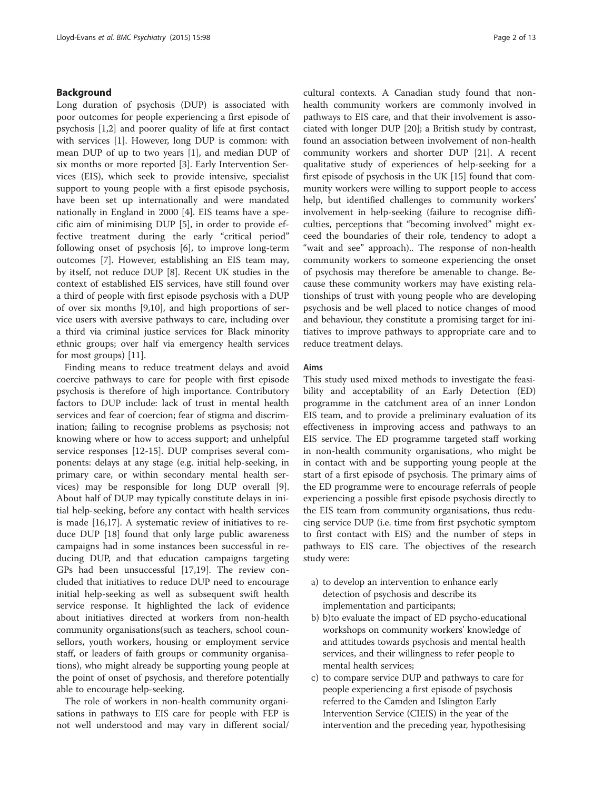## Background

Long duration of psychosis (DUP) is associated with poor outcomes for people experiencing a first episode of psychosis [[1,2\]](#page-11-0) and poorer quality of life at first contact with services [[1\]](#page-11-0). However, long DUP is common: with mean DUP of up to two years [[1\]](#page-11-0), and median DUP of six months or more reported [[3\]](#page-11-0). Early Intervention Services (EIS), which seek to provide intensive, specialist support to young people with a first episode psychosis, have been set up internationally and were mandated nationally in England in 2000 [[4\]](#page-11-0). EIS teams have a specific aim of minimising DUP [[5\]](#page-11-0), in order to provide effective treatment during the early "critical period" following onset of psychosis [[6\]](#page-11-0), to improve long-term outcomes [[7\]](#page-11-0). However, establishing an EIS team may, by itself, not reduce DUP [[8\]](#page-11-0). Recent UK studies in the context of established EIS services, have still found over a third of people with first episode psychosis with a DUP of over six months [[9,10\]](#page-11-0), and high proportions of service users with aversive pathways to care, including over a third via criminal justice services for Black minority ethnic groups; over half via emergency health services for most groups) [[11](#page-11-0)].

Finding means to reduce treatment delays and avoid coercive pathways to care for people with first episode psychosis is therefore of high importance. Contributory factors to DUP include: lack of trust in mental health services and fear of coercion; fear of stigma and discrimination; failing to recognise problems as psychosis; not knowing where or how to access support; and unhelpful service responses [[12-15\]](#page-11-0). DUP comprises several components: delays at any stage (e.g. initial help-seeking, in primary care, or within secondary mental health services) may be responsible for long DUP overall [\[9](#page-11-0)]. About half of DUP may typically constitute delays in initial help-seeking, before any contact with health services is made [[16](#page-11-0),[17](#page-11-0)]. A systematic review of initiatives to reduce DUP [[18\]](#page-11-0) found that only large public awareness campaigns had in some instances been successful in reducing DUP, and that education campaigns targeting GPs had been unsuccessful [[17,19\]](#page-11-0). The review concluded that initiatives to reduce DUP need to encourage initial help-seeking as well as subsequent swift health service response. It highlighted the lack of evidence about initiatives directed at workers from non-health community organisations(such as teachers, school counsellors, youth workers, housing or employment service staff, or leaders of faith groups or community organisations), who might already be supporting young people at the point of onset of psychosis, and therefore potentially able to encourage help-seeking.

The role of workers in non-health community organisations in pathways to EIS care for people with FEP is not well understood and may vary in different social/

cultural contexts. A Canadian study found that nonhealth community workers are commonly involved in pathways to EIS care, and that their involvement is associated with longer DUP [[20\]](#page-11-0); a British study by contrast, found an association between involvement of non-health community workers and shorter DUP [[21](#page-11-0)]. A recent qualitative study of experiences of help-seeking for a first episode of psychosis in the UK [[15\]](#page-11-0) found that community workers were willing to support people to access help, but identified challenges to community workers' involvement in help-seeking (failure to recognise difficulties, perceptions that "becoming involved" might exceed the boundaries of their role, tendency to adopt a "wait and see" approach).. The response of non-health community workers to someone experiencing the onset of psychosis may therefore be amenable to change. Because these community workers may have existing relationships of trust with young people who are developing psychosis and be well placed to notice changes of mood and behaviour, they constitute a promising target for initiatives to improve pathways to appropriate care and to reduce treatment delays.

## Aims

This study used mixed methods to investigate the feasibility and acceptability of an Early Detection (ED) programme in the catchment area of an inner London EIS team, and to provide a preliminary evaluation of its effectiveness in improving access and pathways to an EIS service. The ED programme targeted staff working in non-health community organisations, who might be in contact with and be supporting young people at the start of a first episode of psychosis. The primary aims of the ED programme were to encourage referrals of people experiencing a possible first episode psychosis directly to the EIS team from community organisations, thus reducing service DUP (i.e. time from first psychotic symptom to first contact with EIS) and the number of steps in pathways to EIS care. The objectives of the research study were:

- a) to develop an intervention to enhance early detection of psychosis and describe its implementation and participants;
- b) b)to evaluate the impact of ED psycho-educational workshops on community workers' knowledge of and attitudes towards psychosis and mental health services, and their willingness to refer people to mental health services;
- c) to compare service DUP and pathways to care for people experiencing a first episode of psychosis referred to the Camden and Islington Early Intervention Service (CIEIS) in the year of the intervention and the preceding year, hypothesising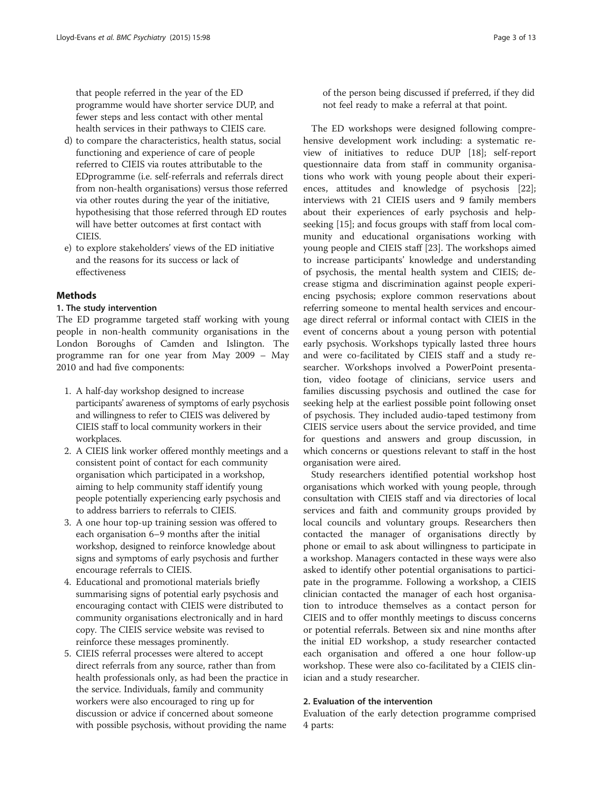that people referred in the year of the ED programme would have shorter service DUP, and fewer steps and less contact with other mental health services in their pathways to CIEIS care.

- d) to compare the characteristics, health status, social functioning and experience of care of people referred to CIEIS via routes attributable to the EDprogramme (i.e. self-referrals and referrals direct from non-health organisations) versus those referred via other routes during the year of the initiative, hypothesising that those referred through ED routes will have better outcomes at first contact with **CIFIS**
- e) to explore stakeholders' views of the ED initiative and the reasons for its success or lack of effectiveness

## **Methods**

## 1. The study intervention

The ED programme targeted staff working with young people in non-health community organisations in the London Boroughs of Camden and Islington. The programme ran for one year from May 2009 – May 2010 and had five components:

- 1. A half-day workshop designed to increase participants' awareness of symptoms of early psychosis and willingness to refer to CIEIS was delivered by CIEIS staff to local community workers in their workplaces.
- 2. A CIEIS link worker offered monthly meetings and a consistent point of contact for each community organisation which participated in a workshop, aiming to help community staff identify young people potentially experiencing early psychosis and to address barriers to referrals to CIEIS.
- 3. A one hour top-up training session was offered to each organisation 6–9 months after the initial workshop, designed to reinforce knowledge about signs and symptoms of early psychosis and further encourage referrals to CIEIS.
- 4. Educational and promotional materials briefly summarising signs of potential early psychosis and encouraging contact with CIEIS were distributed to community organisations electronically and in hard copy. The CIEIS service website was revised to reinforce these messages prominently.
- 5. CIEIS referral processes were altered to accept direct referrals from any source, rather than from health professionals only, as had been the practice in the service. Individuals, family and community workers were also encouraged to ring up for discussion or advice if concerned about someone with possible psychosis, without providing the name

of the person being discussed if preferred, if they did not feel ready to make a referral at that point.

The ED workshops were designed following comprehensive development work including: a systematic review of initiatives to reduce DUP [[18](#page-11-0)]; self-report questionnaire data from staff in community organisations who work with young people about their experiences, attitudes and knowledge of psychosis [\[22](#page-11-0)]; interviews with 21 CIEIS users and 9 family members about their experiences of early psychosis and helpseeking [[15\]](#page-11-0); and focus groups with staff from local community and educational organisations working with young people and CIEIS staff [[23\]](#page-11-0). The workshops aimed to increase participants' knowledge and understanding of psychosis, the mental health system and CIEIS; decrease stigma and discrimination against people experiencing psychosis; explore common reservations about referring someone to mental health services and encourage direct referral or informal contact with CIEIS in the event of concerns about a young person with potential early psychosis. Workshops typically lasted three hours and were co-facilitated by CIEIS staff and a study researcher. Workshops involved a PowerPoint presentation, video footage of clinicians, service users and families discussing psychosis and outlined the case for seeking help at the earliest possible point following onset of psychosis. They included audio-taped testimony from CIEIS service users about the service provided, and time for questions and answers and group discussion, in which concerns or questions relevant to staff in the host organisation were aired.

Study researchers identified potential workshop host organisations which worked with young people, through consultation with CIEIS staff and via directories of local services and faith and community groups provided by local councils and voluntary groups. Researchers then contacted the manager of organisations directly by phone or email to ask about willingness to participate in a workshop. Managers contacted in these ways were also asked to identify other potential organisations to participate in the programme. Following a workshop, a CIEIS clinician contacted the manager of each host organisation to introduce themselves as a contact person for CIEIS and to offer monthly meetings to discuss concerns or potential referrals. Between six and nine months after the initial ED workshop, a study researcher contacted each organisation and offered a one hour follow-up workshop. These were also co-facilitated by a CIEIS clinician and a study researcher.

## 2. Evaluation of the intervention

Evaluation of the early detection programme comprised 4 parts: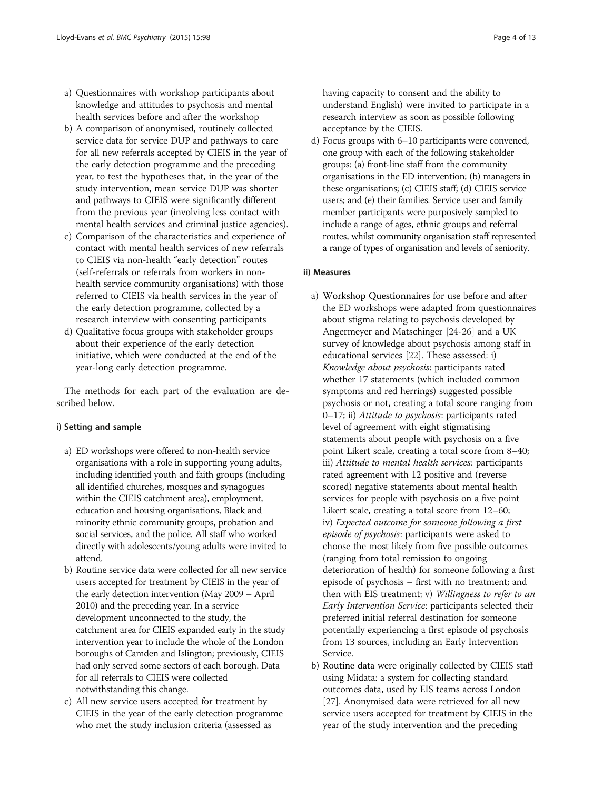- a) Questionnaires with workshop participants about knowledge and attitudes to psychosis and mental health services before and after the workshop
- b) A comparison of anonymised, routinely collected service data for service DUP and pathways to care for all new referrals accepted by CIEIS in the year of the early detection programme and the preceding year, to test the hypotheses that, in the year of the study intervention, mean service DUP was shorter and pathways to CIEIS were significantly different from the previous year (involving less contact with mental health services and criminal justice agencies).
- c) Comparison of the characteristics and experience of contact with mental health services of new referrals to CIEIS via non-health "early detection" routes (self-referrals or referrals from workers in nonhealth service community organisations) with those referred to CIEIS via health services in the year of the early detection programme, collected by a research interview with consenting participants
- d) Qualitative focus groups with stakeholder groups about their experience of the early detection initiative, which were conducted at the end of the year-long early detection programme.

The methods for each part of the evaluation are described below.

## i) Setting and sample

- a) ED workshops were offered to non-health service organisations with a role in supporting young adults, including identified youth and faith groups (including all identified churches, mosques and synagogues within the CIEIS catchment area), employment, education and housing organisations, Black and minority ethnic community groups, probation and social services, and the police. All staff who worked directly with adolescents/young adults were invited to attend.
- b) Routine service data were collected for all new service users accepted for treatment by CIEIS in the year of the early detection intervention (May 2009 – April 2010) and the preceding year. In a service development unconnected to the study, the catchment area for CIEIS expanded early in the study intervention year to include the whole of the London boroughs of Camden and Islington; previously, CIEIS had only served some sectors of each borough. Data for all referrals to CIEIS were collected notwithstanding this change.
- c) All new service users accepted for treatment by CIEIS in the year of the early detection programme who met the study inclusion criteria (assessed as

d) Focus groups with 6–10 participants were convened, one group with each of the following stakeholder groups: (a) front-line staff from the community organisations in the ED intervention; (b) managers in these organisations; (c) CIEIS staff; (d) CIEIS service users; and (e) their families. Service user and family member participants were purposively sampled to include a range of ages, ethnic groups and referral routes, whilst community organisation staff represented a range of types of organisation and levels of seniority.

## ii) Measures

- a) Workshop Questionnaires for use before and after the ED workshops were adapted from questionnaires about stigma relating to psychosis developed by Angermeyer and Matschinger [[24-26\]](#page-11-0) and a UK survey of knowledge about psychosis among staff in educational services [[22](#page-11-0)]. These assessed: i) Knowledge about psychosis: participants rated whether 17 statements (which included common symptoms and red herrings) suggested possible psychosis or not, creating a total score ranging from 0–17; ii) Attitude to psychosis: participants rated level of agreement with eight stigmatising statements about people with psychosis on a five point Likert scale, creating a total score from 8–40; iii) Attitude to mental health services: participants rated agreement with 12 positive and (reverse scored) negative statements about mental health services for people with psychosis on a five point Likert scale, creating a total score from 12–60; iv) Expected outcome for someone following a first episode of psychosis: participants were asked to choose the most likely from five possible outcomes (ranging from total remission to ongoing deterioration of health) for someone following a first episode of psychosis – first with no treatment; and then with EIS treatment; v) Willingness to refer to an Early Intervention Service: participants selected their preferred initial referral destination for someone potentially experiencing a first episode of psychosis from 13 sources, including an Early Intervention Service.
- b) Routine data were originally collected by CIEIS staff using Midata: a system for collecting standard outcomes data, used by EIS teams across London [[27](#page-11-0)]. Anonymised data were retrieved for all new service users accepted for treatment by CIEIS in the year of the study intervention and the preceding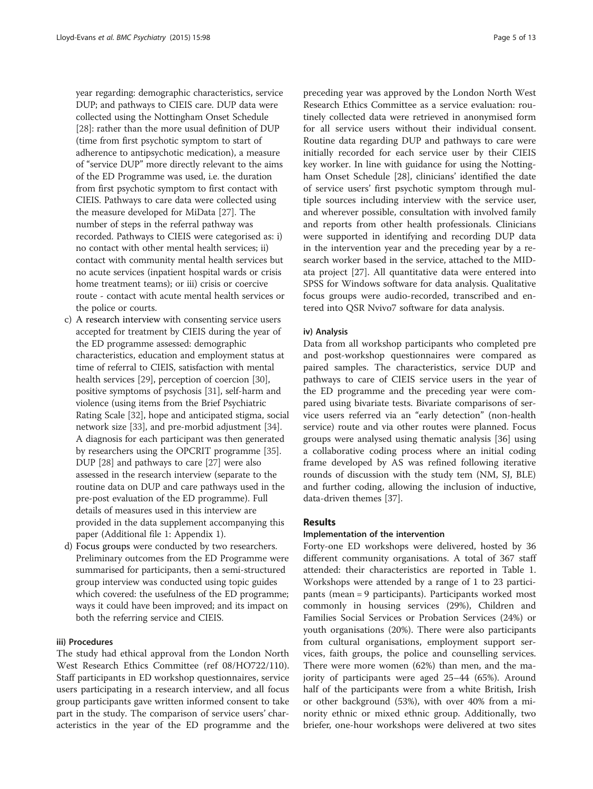year regarding: demographic characteristics, service DUP; and pathways to CIEIS care. DUP data were collected using the Nottingham Onset Schedule [\[28](#page-11-0)]: rather than the more usual definition of DUP (time from first psychotic symptom to start of adherence to antipsychotic medication), a measure of "service DUP" more directly relevant to the aims of the ED Programme was used, i.e. the duration from first psychotic symptom to first contact with CIEIS. Pathways to care data were collected using the measure developed for MiData [[27](#page-11-0)]. The number of steps in the referral pathway was recorded. Pathways to CIEIS were categorised as: i) no contact with other mental health services; ii) contact with community mental health services but no acute services (inpatient hospital wards or crisis home treatment teams); or iii) crisis or coercive route - contact with acute mental health services or the police or courts.

- c) A research interview with consenting service users accepted for treatment by CIEIS during the year of the ED programme assessed: demographic characteristics, education and employment status at time of referral to CIEIS, satisfaction with mental health services [\[29](#page-11-0)], perception of coercion [\[30](#page-11-0)], positive symptoms of psychosis [[31](#page-12-0)], self-harm and violence (using items from the Brief Psychiatric Rating Scale [\[32](#page-12-0)], hope and anticipated stigma, social network size [\[33\]](#page-12-0), and pre-morbid adjustment [\[34](#page-12-0)]. A diagnosis for each participant was then generated by researchers using the OPCRIT programme [[35\]](#page-12-0). DUP [[28\]](#page-11-0) and pathways to care [\[27\]](#page-11-0) were also assessed in the research interview (separate to the routine data on DUP and care pathways used in the pre-post evaluation of the ED programme). Full details of measures used in this interview are provided in the data supplement accompanying this paper (Additional file [1:](#page-10-0) Appendix 1).
- d) Focus groups were conducted by two researchers. Preliminary outcomes from the ED Programme were summarised for participants, then a semi-structured group interview was conducted using topic guides which covered: the usefulness of the ED programme; ways it could have been improved; and its impact on both the referring service and CIEIS.

## iii) Procedures

The study had ethical approval from the London North West Research Ethics Committee (ref 08/HO722/110). Staff participants in ED workshop questionnaires, service users participating in a research interview, and all focus group participants gave written informed consent to take part in the study. The comparison of service users' characteristics in the year of the ED programme and the

preceding year was approved by the London North West Research Ethics Committee as a service evaluation: routinely collected data were retrieved in anonymised form for all service users without their individual consent. Routine data regarding DUP and pathways to care were initially recorded for each service user by their CIEIS key worker. In line with guidance for using the Nottingham Onset Schedule [[28\]](#page-11-0), clinicians' identified the date of service users' first psychotic symptom through multiple sources including interview with the service user, and wherever possible, consultation with involved family and reports from other health professionals. Clinicians were supported in identifying and recording DUP data in the intervention year and the preceding year by a research worker based in the service, attached to the MIData project [\[27\]](#page-11-0). All quantitative data were entered into SPSS for Windows software for data analysis. Qualitative focus groups were audio-recorded, transcribed and entered into QSR Nvivo7 software for data analysis.

## iv) Analysis

Data from all workshop participants who completed pre and post-workshop questionnaires were compared as paired samples. The characteristics, service DUP and pathways to care of CIEIS service users in the year of the ED programme and the preceding year were compared using bivariate tests. Bivariate comparisons of service users referred via an "early detection" (non-health service) route and via other routes were planned. Focus groups were analysed using thematic analysis [\[36\]](#page-12-0) using a collaborative coding process where an initial coding frame developed by AS was refined following iterative rounds of discussion with the study tem (NM, SJ, BLE) and further coding, allowing the inclusion of inductive, data-driven themes [[37](#page-12-0)].

#### Results

## Implementation of the intervention

Forty-one ED workshops were delivered, hosted by 36 different community organisations. A total of 367 staff attended: their characteristics are reported in Table [1](#page-5-0). Workshops were attended by a range of 1 to 23 participants (mean = 9 participants). Participants worked most commonly in housing services (29%), Children and Families Social Services or Probation Services (24%) or youth organisations (20%). There were also participants from cultural organisations, employment support services, faith groups, the police and counselling services. There were more women (62%) than men, and the majority of participants were aged 25–44 (65%). Around half of the participants were from a white British, Irish or other background (53%), with over 40% from a minority ethnic or mixed ethnic group. Additionally, two briefer, one-hour workshops were delivered at two sites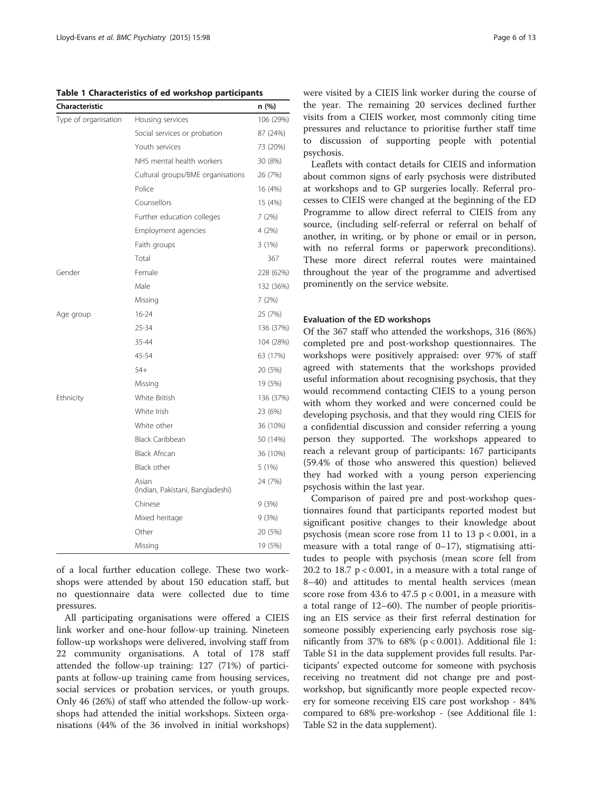<span id="page-5-0"></span>Table 1 Characteristics of ed workshop participants

| Characteristic       |                                           | n (%)     |
|----------------------|-------------------------------------------|-----------|
| Type of organisation | Housing services                          | 106 (29%) |
|                      | Social services or probation              | 87 (24%)  |
|                      | Youth services                            | 73 (20%)  |
|                      | NHS mental health workers                 | 30 (8%)   |
|                      | Cultural groups/BME organisations         | 26 (7%)   |
|                      | Police                                    | 16 (4%)   |
|                      | Counsellors                               | 15 (4%)   |
|                      | Further education colleges                | 7(2%)     |
|                      | Employment agencies                       | 4(2%)     |
|                      | Faith groups                              | 3(1%)     |
|                      | Total                                     | 367       |
| Gender               | Female                                    | 228 (62%) |
|                      | Male                                      | 132 (36%) |
|                      | Missing                                   | 7(2%)     |
| Age group            | $16 - 24$                                 | 25 (7%)   |
|                      | $25 - 34$                                 | 136 (37%) |
|                      | 35-44                                     | 104 (28%) |
|                      | 45-54                                     | 63 (17%)  |
|                      | $54+$                                     | 20 (5%)   |
|                      | Missing                                   | 19 (5%)   |
| Ethnicity            | White British                             | 136 (37%) |
|                      | White Irish                               | 23 (6%)   |
|                      | White other                               | 36 (10%)  |
|                      | <b>Black Caribbean</b>                    | 50 (14%)  |
|                      | <b>Black African</b>                      | 36 (10%)  |
|                      | Black other                               | 5 (1%)    |
|                      | Asian<br>(Indian, Pakistani, Bangladeshi) | 24 (7%)   |
|                      | Chinese                                   | 9(3%)     |
|                      | Mixed heritage                            | 9(3%)     |
|                      | Other                                     | 20 (5%)   |
|                      | Missing                                   | 19 (5%)   |

of a local further education college. These two workshops were attended by about 150 education staff, but no questionnaire data were collected due to time pressures.

All participating organisations were offered a CIEIS link worker and one-hour follow-up training. Nineteen follow-up workshops were delivered, involving staff from 22 community organisations. A total of 178 staff attended the follow-up training: 127 (71%) of participants at follow-up training came from housing services, social services or probation services, or youth groups. Only 46 (26%) of staff who attended the follow-up workshops had attended the initial workshops. Sixteen organisations (44% of the 36 involved in initial workshops) were visited by a CIEIS link worker during the course of the year. The remaining 20 services declined further visits from a CIEIS worker, most commonly citing time pressures and reluctance to prioritise further staff time to discussion of supporting people with potential psychosis.

Leaflets with contact details for CIEIS and information about common signs of early psychosis were distributed at workshops and to GP surgeries locally. Referral processes to CIEIS were changed at the beginning of the ED Programme to allow direct referral to CIEIS from any source, (including self-referral or referral on behalf of another, in writing, or by phone or email or in person, with no referral forms or paperwork preconditions). These more direct referral routes were maintained throughout the year of the programme and advertised prominently on the service website.

#### Evaluation of the ED workshops

Of the 367 staff who attended the workshops, 316 (86%) completed pre and post-workshop questionnaires. The workshops were positively appraised: over 97% of staff agreed with statements that the workshops provided useful information about recognising psychosis, that they would recommend contacting CIEIS to a young person with whom they worked and were concerned could be developing psychosis, and that they would ring CIEIS for a confidential discussion and consider referring a young person they supported. The workshops appeared to reach a relevant group of participants: 167 participants (59.4% of those who answered this question) believed they had worked with a young person experiencing psychosis within the last year.

Comparison of paired pre and post-workshop questionnaires found that participants reported modest but significant positive changes to their knowledge about psychosis (mean score rose from 11 to 13  $p < 0.001$ , in a measure with a total range of  $0-17$ ), stigmatising attitudes to people with psychosis (mean score fell from 20.2 to 18.7  $p < 0.001$ , in a measure with a total range of 8–40) and attitudes to mental health services (mean score rose from  $43.6$  to  $47.5$  p < 0.001, in a measure with a total range of 12–60). The number of people prioritising an EIS service as their first referral destination for someone possibly experiencing early psychosis rose significantly from 37% to  $68\%$  ( $p < 0.001$ ). Additional file [1](#page-10-0): Table S1 in the data supplement provides full results. Participants' expected outcome for someone with psychosis receiving no treatment did not change pre and postworkshop, but significantly more people expected recovery for someone receiving EIS care post workshop - 84% compared to 68% pre-workshop - (see Additional file [1](#page-10-0): Table S2 in the data supplement).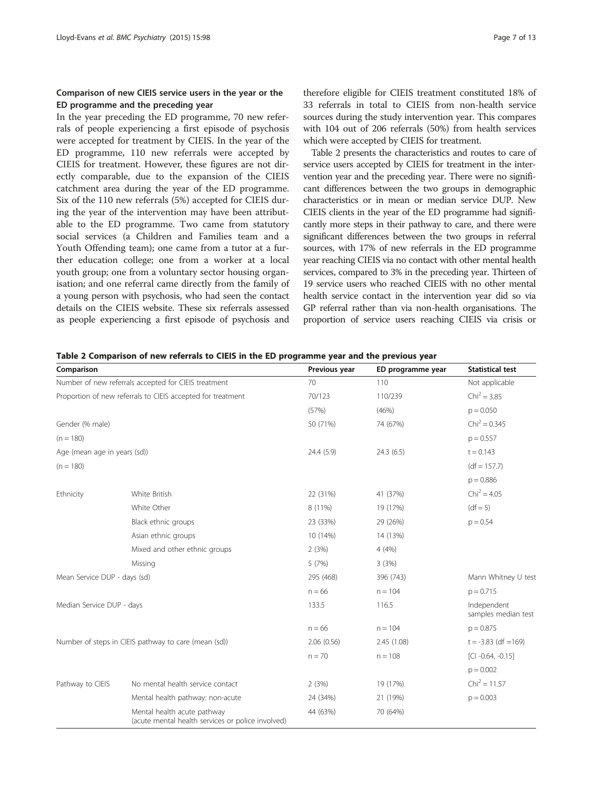## Comparison of new CIEIS service users in the year or the ED programme and the preceding year

In the year preceding the ED programme, 70 new referrals of people experiencing a first episode of psychosis were accepted for treatment by CIEIS. In the year of the ED programme, 110 new referrals were accepted by CIEIS for treatment. However, these figures are not directly comparable, due to the expansion of the CIEIS catchment area during the year of the ED programme. Six of the 110 new referrals (5%) accepted for CIEIS during the year of the intervention may have been attributable to the ED programme. Two came from statutory social services (a Children and Families team and a Youth Offending team); one came from a tutor at a further education college; one from a worker at a local youth group; one from a voluntary sector housing organisation; and one referral came directly from the family of a young person with psychosis, who had seen the contact details on the CIEIS website. These six referrals assessed as people experiencing a first episode of psychosis and

therefore eligible for CIEIS treatment constituted 18% of 33 referrals in total to CIEIS from non-health service sources during the study intervention year. This compares with 104 out of 206 referrals (50%) from health services which were accepted by CIEIS for treatment.

Table 2 presents the characteristics and routes to care of service users accepted by CIEIS for treatment in the intervention year and the preceding year. There were no significant differences between the two groups in demographic characteristics or in mean or median service DUP. New CIEIS clients in the year of the ED programme had significantly more steps in their pathway to care, and there were significant differences between the two groups in referral sources, with 17% of new referrals in the ED programme year reaching CIEIS via no contact with other mental health services, compared to 3% in the preceding year. Thirteen of 19 service users who reached CIEIS with no other mental health service contact in the intervention year did so via GP referral rather than via non-health organisations. The proportion of service users reaching CIEIS via crisis or

Table 2 Comparison of new referrals to CIEIS in the ED programme year and the previous year

| Comparison                                                  |                                                                                  | Previous year | ED programme year | <b>Statistical test</b>            |  |
|-------------------------------------------------------------|----------------------------------------------------------------------------------|---------------|-------------------|------------------------------------|--|
| Number of new referrals accepted for CIEIS treatment        |                                                                                  | 70            | 110               | Not applicable                     |  |
| Proportion of new referrals to CIEIS accepted for treatment |                                                                                  | 70/123        | 110/239           | $Chi^2 = 3.85$                     |  |
|                                                             |                                                                                  | (57%)         | (46%)             | $p = 0.050$                        |  |
| Gender (% male)                                             |                                                                                  | 50 (71%)      | 74 (67%)          | $Chi^2 = 0.345$                    |  |
| $(n = 180)$                                                 |                                                                                  |               |                   | $p = 0.557$                        |  |
| Age (mean age in years (sd))                                |                                                                                  | 24.4(5.9)     | 24.3(6.5)         | $t = 0.143$                        |  |
| $(n = 180)$                                                 |                                                                                  |               |                   | $(df = 157.7)$                     |  |
|                                                             |                                                                                  |               |                   | $p = 0.886$                        |  |
| Ethnicity                                                   | White British                                                                    | 22 (31%)      | 41 (37%)          | $Chi^2 = 4.05$                     |  |
|                                                             | White Other                                                                      | 8 (11%)       | 19 (17%)          | $(df = 5)$                         |  |
|                                                             | Black ethnic groups                                                              | 23 (33%)      | 29 (26%)          | $p = 0.54$                         |  |
|                                                             | Asian ethnic groups                                                              | 10 (14%)      | 14 (13%)          |                                    |  |
|                                                             | Mixed and other ethnic groups                                                    | 2(3%)         | 4(4%)             |                                    |  |
|                                                             | Missing                                                                          | 5(7%)         | 3(3%)             |                                    |  |
| Mean Service DUP - days (sd)                                |                                                                                  | 295 (468)     | 396 (743)         | Mann Whitney U test                |  |
|                                                             |                                                                                  | $n = 66$      | $n = 104$         | $p = 0.715$                        |  |
| Median Service DUP - days                                   |                                                                                  | 133.5         | 116.5             | Independent<br>samples median test |  |
|                                                             |                                                                                  | $n = 66$      | $n = 104$         | $p = 0.875$                        |  |
| Number of steps in CIEIS pathway to care (mean (sd))        |                                                                                  | 2.06(0.56)    | 2.45(1.08)        | $t = -3.83$ (df = 169)             |  |
|                                                             |                                                                                  | $n = 70$      | $n = 108$         | $[CI -0.64, -0.15]$                |  |
|                                                             |                                                                                  |               |                   | $p = 0.002$                        |  |
| Pathway to CIEIS                                            | No mental health service contact                                                 | 2(3%)         | 19 (17%)          | $Chi^2 = 11.57$                    |  |
|                                                             | Mental health pathway: non-acute                                                 | 24 (34%)      | 21 (19%)          | $p = 0.003$                        |  |
|                                                             | Mental health acute pathway<br>(acute mental health services or police involved) | 44 (63%)      | 70 (64%)          |                                    |  |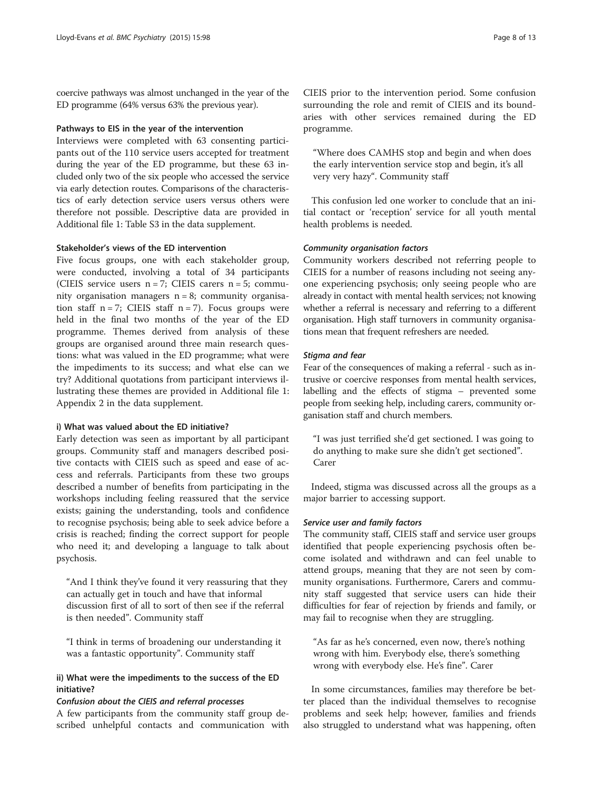coercive pathways was almost unchanged in the year of the ED programme (64% versus 63% the previous year).

## Pathways to EIS in the year of the intervention

Interviews were completed with 63 consenting participants out of the 110 service users accepted for treatment during the year of the ED programme, but these 63 included only two of the six people who accessed the service via early detection routes. Comparisons of the characteristics of early detection service users versus others were therefore not possible. Descriptive data are provided in Additional file [1](#page-10-0): Table S3 in the data supplement.

## Stakeholder's views of the ED intervention

Five focus groups, one with each stakeholder group, were conducted, involving a total of 34 participants (CIEIS service users  $n = 7$ ; CIEIS carers  $n = 5$ ; community organisation managers  $n = 8$ ; community organisation staff  $n = 7$ ; CIEIS staff  $n = 7$ ). Focus groups were held in the final two months of the year of the ED programme. Themes derived from analysis of these groups are organised around three main research questions: what was valued in the ED programme; what were the impediments to its success; and what else can we try? Additional quotations from participant interviews illustrating these themes are provided in Additional file [1](#page-10-0): Appendix 2 in the data supplement.

## i) What was valued about the ED initiative?

Early detection was seen as important by all participant groups. Community staff and managers described positive contacts with CIEIS such as speed and ease of access and referrals. Participants from these two groups described a number of benefits from participating in the workshops including feeling reassured that the service exists; gaining the understanding, tools and confidence to recognise psychosis; being able to seek advice before a crisis is reached; finding the correct support for people who need it; and developing a language to talk about psychosis.

"And I think they've found it very reassuring that they can actually get in touch and have that informal discussion first of all to sort of then see if the referral is then needed". Community staff

"I think in terms of broadening our understanding it was a fantastic opportunity". Community staff

## ii) What were the impediments to the success of the ED initiative?

#### Confusion about the CIEIS and referral processes

A few participants from the community staff group described unhelpful contacts and communication with CIEIS prior to the intervention period. Some confusion surrounding the role and remit of CIEIS and its boundaries with other services remained during the ED programme.

"Where does CAMHS stop and begin and when does the early intervention service stop and begin, it's all very very hazy". Community staff

This confusion led one worker to conclude that an initial contact or 'reception' service for all youth mental health problems is needed.

## Community organisation factors

Community workers described not referring people to CIEIS for a number of reasons including not seeing anyone experiencing psychosis; only seeing people who are already in contact with mental health services; not knowing whether a referral is necessary and referring to a different organisation. High staff turnovers in community organisations mean that frequent refreshers are needed.

## Stigma and fear

Fear of the consequences of making a referral - such as intrusive or coercive responses from mental health services, labelling and the effects of stigma – prevented some people from seeking help, including carers, community organisation staff and church members.

"I was just terrified she'd get sectioned. I was going to do anything to make sure she didn't get sectioned". Carer

Indeed, stigma was discussed across all the groups as a major barrier to accessing support.

## Service user and family factors

The community staff, CIEIS staff and service user groups identified that people experiencing psychosis often become isolated and withdrawn and can feel unable to attend groups, meaning that they are not seen by community organisations. Furthermore, Carers and community staff suggested that service users can hide their difficulties for fear of rejection by friends and family, or may fail to recognise when they are struggling.

"As far as he's concerned, even now, there's nothing wrong with him. Everybody else, there's something wrong with everybody else. He's fine". Carer

In some circumstances, families may therefore be better placed than the individual themselves to recognise problems and seek help; however, families and friends also struggled to understand what was happening, often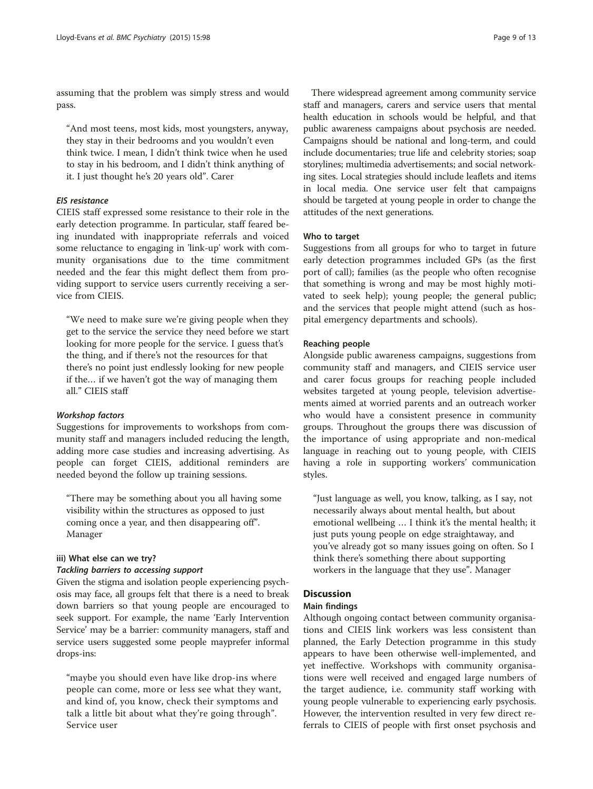assuming that the problem was simply stress and would pass.

"And most teens, most kids, most youngsters, anyway, they stay in their bedrooms and you wouldn't even think twice. I mean, I didn't think twice when he used to stay in his bedroom, and I didn't think anything of it. I just thought he's 20 years old". Carer

## EIS resistance

CIEIS staff expressed some resistance to their role in the early detection programme. In particular, staff feared being inundated with inappropriate referrals and voiced some reluctance to engaging in 'link-up' work with community organisations due to the time commitment needed and the fear this might deflect them from providing support to service users currently receiving a service from CIEIS.

"We need to make sure we're giving people when they get to the service the service they need before we start looking for more people for the service. I guess that's the thing, and if there's not the resources for that there's no point just endlessly looking for new people if the… if we haven't got the way of managing them all." CIEIS staff

## Workshop factors

Suggestions for improvements to workshops from community staff and managers included reducing the length, adding more case studies and increasing advertising. As people can forget CIEIS, additional reminders are needed beyond the follow up training sessions.

"There may be something about you all having some visibility within the structures as opposed to just coming once a year, and then disappearing off". Manager

## iii) What else can we try?

## Tackling barriers to accessing support

Given the stigma and isolation people experiencing psychosis may face, all groups felt that there is a need to break down barriers so that young people are encouraged to seek support. For example, the name 'Early Intervention Service' may be a barrier: community managers, staff and service users suggested some people mayprefer informal drops-ins:

"maybe you should even have like drop-ins where people can come, more or less see what they want, and kind of, you know, check their symptoms and talk a little bit about what they're going through". Service user

There widespread agreement among community service staff and managers, carers and service users that mental health education in schools would be helpful, and that public awareness campaigns about psychosis are needed. Campaigns should be national and long-term, and could include documentaries; true life and celebrity stories; soap storylines; multimedia advertisements; and social networking sites. Local strategies should include leaflets and items in local media. One service user felt that campaigns should be targeted at young people in order to change the attitudes of the next generations.

## Who to target

Suggestions from all groups for who to target in future early detection programmes included GPs (as the first port of call); families (as the people who often recognise that something is wrong and may be most highly motivated to seek help); young people; the general public; and the services that people might attend (such as hospital emergency departments and schools).

## Reaching people

Alongside public awareness campaigns, suggestions from community staff and managers, and CIEIS service user and carer focus groups for reaching people included websites targeted at young people, television advertisements aimed at worried parents and an outreach worker who would have a consistent presence in community groups. Throughout the groups there was discussion of the importance of using appropriate and non-medical language in reaching out to young people, with CIEIS having a role in supporting workers' communication styles.

"Just language as well, you know, talking, as I say, not necessarily always about mental health, but about emotional wellbeing … I think it's the mental health; it just puts young people on edge straightaway, and you've already got so many issues going on often. So I think there's something there about supporting workers in the language that they use". Manager

## **Discussion**

## Main findings

Although ongoing contact between community organisations and CIEIS link workers was less consistent than planned, the Early Detection programme in this study appears to have been otherwise well-implemented, and yet ineffective. Workshops with community organisations were well received and engaged large numbers of the target audience, i.e. community staff working with young people vulnerable to experiencing early psychosis. However, the intervention resulted in very few direct referrals to CIEIS of people with first onset psychosis and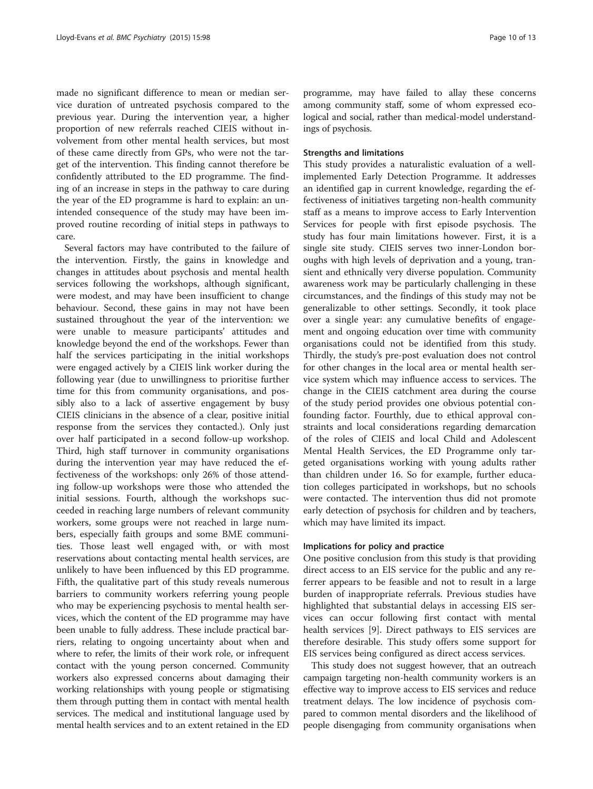made no significant difference to mean or median service duration of untreated psychosis compared to the previous year. During the intervention year, a higher proportion of new referrals reached CIEIS without involvement from other mental health services, but most of these came directly from GPs, who were not the target of the intervention. This finding cannot therefore be confidently attributed to the ED programme. The finding of an increase in steps in the pathway to care during the year of the ED programme is hard to explain: an unintended consequence of the study may have been improved routine recording of initial steps in pathways to care.

Several factors may have contributed to the failure of the intervention. Firstly, the gains in knowledge and changes in attitudes about psychosis and mental health services following the workshops, although significant, were modest, and may have been insufficient to change behaviour. Second, these gains in may not have been sustained throughout the year of the intervention: we were unable to measure participants' attitudes and knowledge beyond the end of the workshops. Fewer than half the services participating in the initial workshops were engaged actively by a CIEIS link worker during the following year (due to unwillingness to prioritise further time for this from community organisations, and possibly also to a lack of assertive engagement by busy CIEIS clinicians in the absence of a clear, positive initial response from the services they contacted.). Only just over half participated in a second follow-up workshop. Third, high staff turnover in community organisations during the intervention year may have reduced the effectiveness of the workshops: only 26% of those attending follow-up workshops were those who attended the initial sessions. Fourth, although the workshops succeeded in reaching large numbers of relevant community workers, some groups were not reached in large numbers, especially faith groups and some BME communities. Those least well engaged with, or with most reservations about contacting mental health services, are unlikely to have been influenced by this ED programme. Fifth, the qualitative part of this study reveals numerous barriers to community workers referring young people who may be experiencing psychosis to mental health services, which the content of the ED programme may have been unable to fully address. These include practical barriers, relating to ongoing uncertainty about when and where to refer, the limits of their work role, or infrequent contact with the young person concerned. Community workers also expressed concerns about damaging their working relationships with young people or stigmatising them through putting them in contact with mental health services. The medical and institutional language used by mental health services and to an extent retained in the ED

programme, may have failed to allay these concerns among community staff, some of whom expressed ecological and social, rather than medical-model understandings of psychosis.

#### Strengths and limitations

This study provides a naturalistic evaluation of a wellimplemented Early Detection Programme. It addresses an identified gap in current knowledge, regarding the effectiveness of initiatives targeting non-health community staff as a means to improve access to Early Intervention Services for people with first episode psychosis. The study has four main limitations however. First, it is a single site study. CIEIS serves two inner-London boroughs with high levels of deprivation and a young, transient and ethnically very diverse population. Community awareness work may be particularly challenging in these circumstances, and the findings of this study may not be generalizable to other settings. Secondly, it took place over a single year: any cumulative benefits of engagement and ongoing education over time with community organisations could not be identified from this study. Thirdly, the study's pre-post evaluation does not control for other changes in the local area or mental health service system which may influence access to services. The change in the CIEIS catchment area during the course of the study period provides one obvious potential confounding factor. Fourthly, due to ethical approval constraints and local considerations regarding demarcation of the roles of CIEIS and local Child and Adolescent Mental Health Services, the ED Programme only targeted organisations working with young adults rather than children under 16. So for example, further education colleges participated in workshops, but no schools were contacted. The intervention thus did not promote early detection of psychosis for children and by teachers, which may have limited its impact.

## Implications for policy and practice

One positive conclusion from this study is that providing direct access to an EIS service for the public and any referrer appears to be feasible and not to result in a large burden of inappropriate referrals. Previous studies have highlighted that substantial delays in accessing EIS services can occur following first contact with mental health services [\[9](#page-11-0)]. Direct pathways to EIS services are therefore desirable. This study offers some support for EIS services being configured as direct access services.

This study does not suggest however, that an outreach campaign targeting non-health community workers is an effective way to improve access to EIS services and reduce treatment delays. The low incidence of psychosis compared to common mental disorders and the likelihood of people disengaging from community organisations when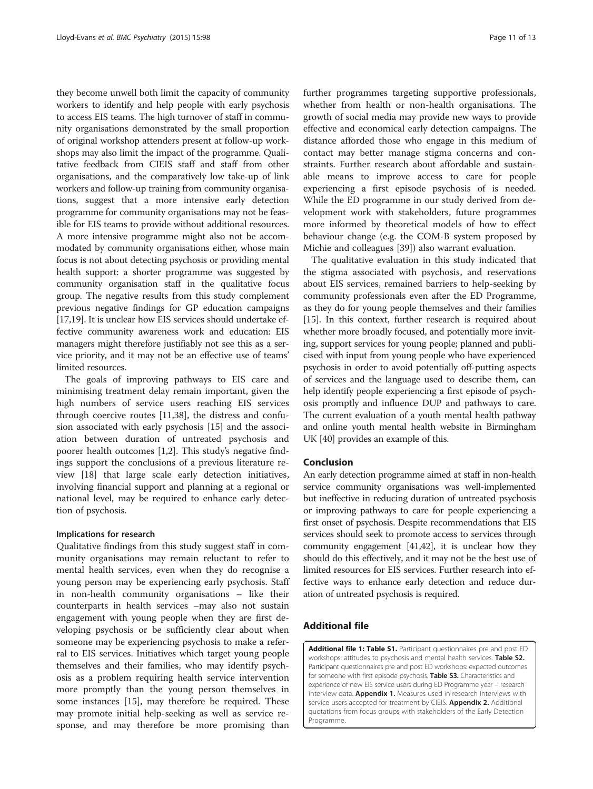<span id="page-10-0"></span>they become unwell both limit the capacity of community workers to identify and help people with early psychosis to access EIS teams. The high turnover of staff in community organisations demonstrated by the small proportion of original workshop attenders present at follow-up workshops may also limit the impact of the programme. Qualitative feedback from CIEIS staff and staff from other organisations, and the comparatively low take-up of link workers and follow-up training from community organisations, suggest that a more intensive early detection programme for community organisations may not be feasible for EIS teams to provide without additional resources. A more intensive programme might also not be accommodated by community organisations either, whose main focus is not about detecting psychosis or providing mental health support: a shorter programme was suggested by community organisation staff in the qualitative focus group. The negative results from this study complement previous negative findings for GP education campaigns [[17,19](#page-11-0)]. It is unclear how EIS services should undertake effective community awareness work and education: EIS managers might therefore justifiably not see this as a service priority, and it may not be an effective use of teams' limited resources.

The goals of improving pathways to EIS care and minimising treatment delay remain important, given the high numbers of service users reaching EIS services through coercive routes [[11,](#page-11-0)[38\]](#page-12-0), the distress and confusion associated with early psychosis [\[15](#page-11-0)] and the association between duration of untreated psychosis and poorer health outcomes [[1,2\]](#page-11-0). This study's negative findings support the conclusions of a previous literature review [[18](#page-11-0)] that large scale early detection initiatives, involving financial support and planning at a regional or national level, may be required to enhance early detection of psychosis.

## Implications for research

Qualitative findings from this study suggest staff in community organisations may remain reluctant to refer to mental health services, even when they do recognise a young person may be experiencing early psychosis. Staff in non-health community organisations – like their counterparts in health services –may also not sustain engagement with young people when they are first developing psychosis or be sufficiently clear about when someone may be experiencing psychosis to make a referral to EIS services. Initiatives which target young people themselves and their families, who may identify psychosis as a problem requiring health service intervention more promptly than the young person themselves in some instances [[15\]](#page-11-0), may therefore be required. These may promote initial help-seeking as well as service response, and may therefore be more promising than further programmes targeting supportive professionals, whether from health or non-health organisations. The growth of social media may provide new ways to provide effective and economical early detection campaigns. The distance afforded those who engage in this medium of contact may better manage stigma concerns and constraints. Further research about affordable and sustainable means to improve access to care for people experiencing a first episode psychosis of is needed. While the ED programme in our study derived from development work with stakeholders, future programmes more informed by theoretical models of how to effect behaviour change (e.g. the COM-B system proposed by Michie and colleagues [[39\]](#page-12-0)) also warrant evaluation.

The qualitative evaluation in this study indicated that the stigma associated with psychosis, and reservations about EIS services, remained barriers to help-seeking by community professionals even after the ED Programme, as they do for young people themselves and their families [[15](#page-11-0)]. In this context, further research is required about whether more broadly focused, and potentially more inviting, support services for young people; planned and publicised with input from young people who have experienced psychosis in order to avoid potentially off-putting aspects of services and the language used to describe them, can help identify people experiencing a first episode of psychosis promptly and influence DUP and pathways to care. The current evaluation of a youth mental health pathway and online youth mental health website in Birmingham UK [\[40\]](#page-12-0) provides an example of this.

## Conclusion

An early detection programme aimed at staff in non-health service community organisations was well-implemented but ineffective in reducing duration of untreated psychosis or improving pathways to care for people experiencing a first onset of psychosis. Despite recommendations that EIS services should seek to promote access to services through community engagement [[41,42\]](#page-12-0), it is unclear how they should do this effectively, and it may not be the best use of limited resources for EIS services. Further research into effective ways to enhance early detection and reduce duration of untreated psychosis is required.

## Additional file

[Additional file 1: Table S1.](http://www.biomedcentral.com/content/supplementary/s12888-015-0485-y-s1.docx) Participant questionnaires pre and post ED workshops: attitudes to psychosis and mental health services. **Table S2.** Participant questionnaires pre and post ED workshops: expected outcomes for someone with first episode psychosis. Table S3. Characteristics and experience of new EIS service users during ED Programme year – research interview data. Appendix 1. Measures used in research interviews with service users accepted for treatment by CIEIS. Appendix 2. Additional quotations from focus groups with stakeholders of the Early Detection Programme.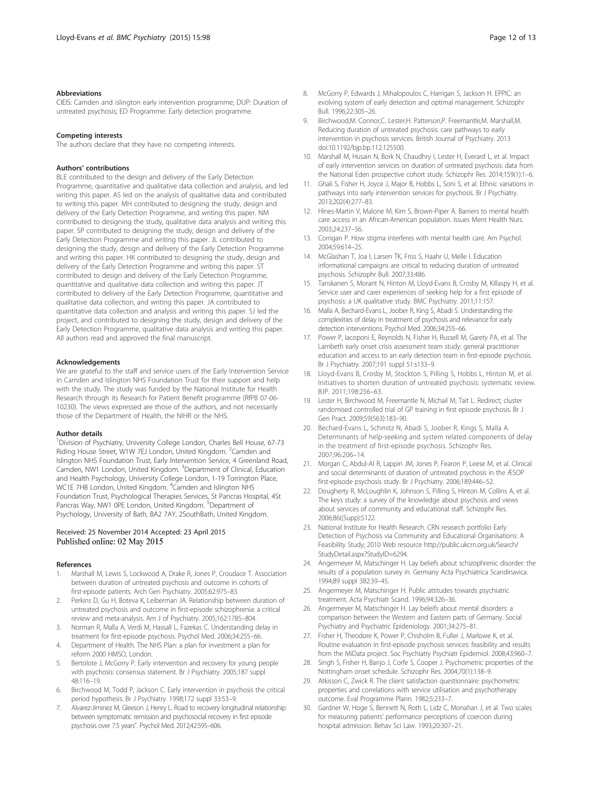#### <span id="page-11-0"></span>**Abbreviations**

CIEIS: Camden and islington early intervention programme; DUP: Duration of untreated psychosis; ED Programme: Early detection programme.

#### Competing interests

The authors declare that they have no competing interests.

#### Authors' contributions

BLE contributed to the design and delivery of the Early Detection Programme, quantitative and qualitative data collection and analysis, and led writing this paper. AS led on the analysis of qualitative data and contributed to writing this paper. MH contributed to designing the study, design and delivery of the Early Detection Programme, and writing this paper. NM contributed to designing the study, qualitative data analysis and writing this paper. SP contributed to designing the study, design and delivery of the Early Detection Programme and writing this paper. JL contributed to designing the study, design and delivery of the Early Detection Programme and writing this paper. HK contributed to designing the study, design and delivery of the Early Detection Programme and writing this paper. ST contributed to design and delivery of the Early Detection Programme, quantitative and qualitative data collection and writing this paper. JT contributed to delivery of the Early Detection Programme, quantitative and qualitative data collection, and writing this paper. JA contributed to quantitative data collection and analysis and writing this paper. SJ led the project, and contributed to designing the study, design and delivery of the Early Detection Programme, qualitative data analysis and writing this paper. All authors read and approved the final manuscript.

#### Acknowledgements

We are grateful to the staff and service users of the Early Intervention Service in Camden and Islington NHS Foundation Trust for their support and help with the study. The study was funded by the National Institute for Health Research through its Research for Patient Benefit programme (RfPB 07-06- 10230). The views expressed are those of the authors, and not necessarily those of the Department of Health, the NIHR or the NHS.

#### Author details

<sup>1</sup> Division of Psychiatry, University College London, Charles Bell House, 67-73 Riding House Street, W1W 7EJ London, United Kingdom. <sup>2</sup>Camden and Islington NHS Foundation Trust, Early Intervention Service, 4 Greenland Road, Camden, NW1 London, United Kingdom. <sup>3</sup>Department of Clinical, Education and Health Psychology, University College London, 1-19 Torrington Place, WC1E 7HB London, United Kingdom. <sup>4</sup>Camden and Islington NHS Foundation Trust, Psychological Therapies Services, St Pancras Hospital, 4St Pancras Way, NW1 OPE London, United Kingdom. <sup>5</sup>Department of Psychology, University of Bath, BA2 7AY, 2SouthBath, United Kingdom.

## Received: 25 November 2014 Accepted: 23 April 2015 Published online: 02 May 2015

#### References

- 1. Marshall M, Lewis S, Lockwood A, Drake R, Jones P, Croudace T. Association between duration of untreated psychosis and outcome in cohorts of first-episode patients. Arch Gen Psychiatry. 2005;62:975–83.
- 2. Perkins D, Gu H, Boteva K, Leiberman JA. Relationship between duration of untreated psychosis and outcome in first-episode schizophrenia: a critical review and meta-analysis. Am J of Psychiatry. 2005;162:1785–804.
- 3. Norman R, Malla A, Verdi M, Hassall L, Fazekas C. Understanding delay in treatment for first-episode psychosis. Psychol Med. 2006;34:255–66.
- 4. Department of Health. The NHS Plan: a plan for investment a plan for reform 2000 HMSO, London.
- 5. Bertolote J, McGorry P. Early intervention and recovery for young people with psychosis: consensus statement. Br J Psychiatry. 2005;187 suppl 48:116–19.
- 6. Birchwood M, Todd P, Jackson C. Early intervention in psychosis the critical period hypothesis. Br J Psychiatry. 1998;172 suppl 33:53–9.
- 7. Alvarez-Jiminez M, Gleeson J, Henry L. Road to recovery longitudinal relationship between symptomatic remission and psychosocial recovery in first episode psychosis over 7.5 years". Psychol Med. 2012;42:595–606.
- 8. McGorry P, Edwards J, Mihalopoulos C, Harrigan S, Jackson H. EPPIC: an evolving system of early detection and optimal management. Schizophr Bull. 1996;22:305–26.
- 9. Birchwood,M. Connor,C. Lester,H. Patterson,P. Freemantle,M. Marshall,M. Reducing duration of untreated psychosis: care pathways to early intervention in psychosis services. British Journal of Psychiatry. 2013 doi:10.1192/bjp.bp.112.125500.
- 10. Marshall M, Husain N, Bork N, Chaudhry I, Lester H, Everard L, et al. Impact of early intervention services on duration of untreated psychosis: data from the National Eden prospective cohort study. Schizophr Res. 2014;159(1):1–6.
- 11. Ghali S, Fisher H, Joyce J, Major B, Hobbs L, Soni S, et al. Ethnic variations in pathways into early intervention services for psychosis. Br J Psychiatry. 2013;202(4):277–83.
- 12. Hines-Martin V, Malone M, Kim S, Brown-Piper A. Barriers to mental health care access in an African-American population. Issues Ment Health Nurs. 2003;24:237–56.
- 13. Corrigan P. How stigma interferes with mental health care. Am Psychol. 2004;59:614–25.
- 14. McGlashan T, Joa I, Larsen TK, Friss S, Haahr U, Melle I. Education informational campaigns are critical to reducing duration of untreated psychosis. Schizophr Bull. 2007;33:486.
- 15. Tanskanen S, Morant N, Hinton M, Lloyd-Evans B, Crosby M, Killaspy H, et al. Service user and carer experiences of seeking help for a first episode of psychosis: a UK qualitative study. BMC Psychiatry. 2011;11:157.
- 16. Malla A, Bechard-Evans L, Joober R, King S, Abadi S. Understanding the complexities of delay in treatment of psychosis and relevance for early detection interventions. Psychol Med. 2006;34:255–66.
- 17. Power P, Iacoponi E, Reynolds N, Fisher H, Russell M, Garety PA, et al. The Lambeth early onset crisis assessment team study: general practitioner education and access to an early detection team in first-episode psychosis. Br J Psychiatry. 2007;191 suppl 51:s133–9.
- 18. Lloyd-Evans B, Crosby M, Stockton S, Pilling S, Hobbs L, Hinton M, et al. Initiatives to shorten duration of untreated psychosis: systematic review. BJP. 2011;198:256–63.
- 19. Lester H, Birchwood M, Freemantle N, Michail M, Tait L. Redirect; cluster randomised controlled trial of GP training in first episode psychosis. Br J Gen Pract. 2009;59(563):183–90.
- 20. Bechard-Evans L, Schmitz N, Abadi S, Joober R, Kings S, Malla A. Determinants of help-seeking and system related components of delay in the treatment of first-episode psychosis. Schizophr Res. 2007;96:206–14.
- 21. Morgan C, Abdul-Al R, Lappin JM, Jones P, Fearon P, Leese M, et al. Clinical and social determinants of duration of untreated psychosis in the ÆSOP first-episode psychosis study. Br J Psychiatry. 2006;189:446–52.
- 22. Dougherty R, McLoughlin K, Johnson S, Pilling S, Hinton M, Collins A, et al. The keys study: a survey of the knowledge about psychosis and views about services of community and educational staff. Schizophr Res. 2006;86((Supp):S122.
- 23. National Institute for Health Research. CRN research portfolio Early Detection of Psychosis via Community and Educational Organisations: A Feasibility Study; 2010 Web resource [http://public.ukcrn.org.uk/Search/](http://public.ukcrn.org.uk/Search/StudyDetail.aspx?StudyID=6294) [StudyDetail.aspx?StudyID=6294](http://public.ukcrn.org.uk/Search/StudyDetail.aspx?StudyID=6294).
- 24. Angermeyer M, Matschinger H. Lay beliefs about schizophrenic disorder: the results of a population survey in. Germany Acta Psychiatrica Scandinavica. 1994;89 suppl 382:39–45.
- 25. Angermeyer M, Matschinger H. Public attitudes towards psychiatric treatment. Acta Psychiatr Scand. 1996;94:326–36.
- 26. Angermeyer M, Matschinger H. Lay beleifs about mental disorders: a comparison between the Western and Eastern parts of Germany. Social Psychiatry and Psychiatric Epideniology. 2001;34:275–81.
- 27. Fisher H, Theodore K, Power P, Chisholm B, Fuller J, Marlowe K, et al. Routine evaluation in first-episode psychosis services: feasibility and results from the MiData project. Soc Psychiatry Psychiatr Epidemiol. 2008;43:960–7.
- 28. Singh S, Fisher H, Banjo J, Corfe S, Cooper J. Psychometric properties of the Nottingham onset schedule. Schizophr Res. 2004;70(1):138–9.
- 29. Atkisson C, Zwick R. The client satisfaction questionnaire: psychometric properties and correlations with service utilisation and psychotherapy outcome. Eval Programme Plann. 1982;5:233–7.
- 30. Gardner W, Hoge S, Bennett N, Roth L, Lidz C, Monahan J, et al. Two scales for measuring patients' performance perceptions of coercion during hospital admission. Behav Sci Law. 1993;20:307–21.